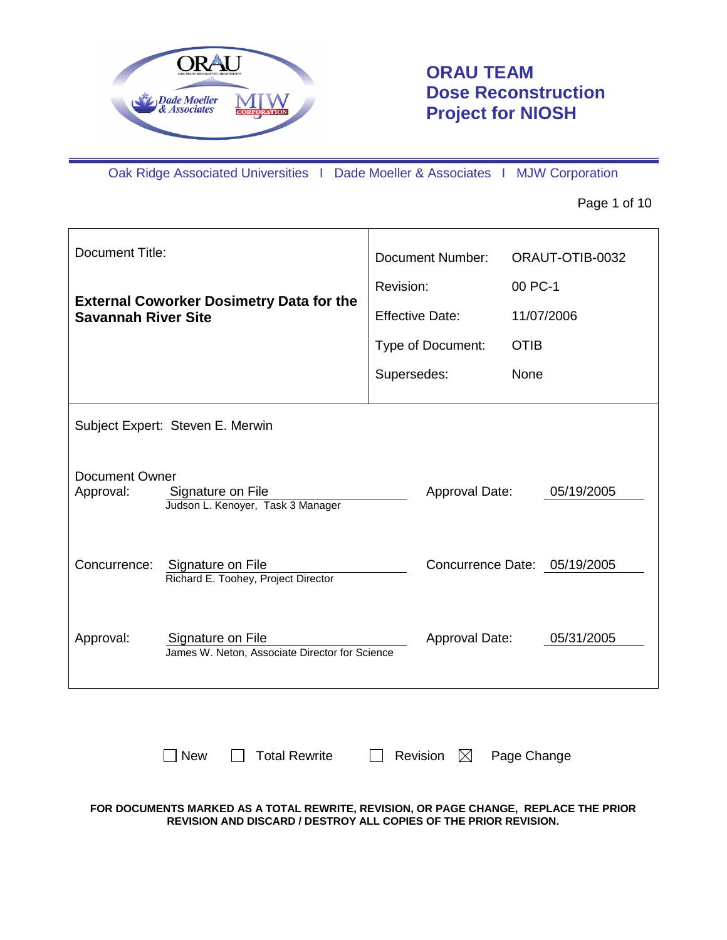

# **ORAU TEAM Dose Reconstruction Project for NIOSH**

Oak Ridge Associated Universities I Dade Moeller & Associates I MJW Corporation

#### Page 1 of 10

| Document Title:                    |                                                                     | Document Number:<br>Revision: |                              | ORAUT-OTIB-0032<br>00 PC-1 |            |
|------------------------------------|---------------------------------------------------------------------|-------------------------------|------------------------------|----------------------------|------------|
| <b>Savannah River Site</b>         | <b>External Coworker Dosimetry Data for the</b>                     |                               | <b>Effective Date:</b>       |                            | 11/07/2006 |
|                                    |                                                                     |                               | Type of Document:            | <b>OTIB</b>                |            |
|                                    |                                                                     | Supersedes:                   |                              | None                       |            |
| Subject Expert: Steven E. Merwin   |                                                                     |                               |                              |                            |            |
| <b>Document Owner</b><br>Approval: | Signature on File<br>Judson L. Kenoyer, Task 3 Manager              |                               | Approval Date:               |                            | 05/19/2005 |
| Concurrence:                       | Signature on File<br>Richard E. Toohey, Project Director            |                               | Concurrence Date: 05/19/2005 |                            |            |
| Approval:                          | Signature on File<br>James W. Neton, Associate Director for Science |                               | Approval Date:               |                            | 05/31/2005 |
|                                    |                                                                     |                               |                              |                            |            |

 $\Box$  New  $\Box$  Total Rewrite  $\Box$  Revision  $\boxtimes$  Page Change

**FOR DOCUMENTS MARKED AS A TOTAL REWRITE, REVISION, OR PAGE CHANGE, REPLACE THE PRIOR REVISION AND DISCARD / DESTROY ALL COPIES OF THE PRIOR REVISION.**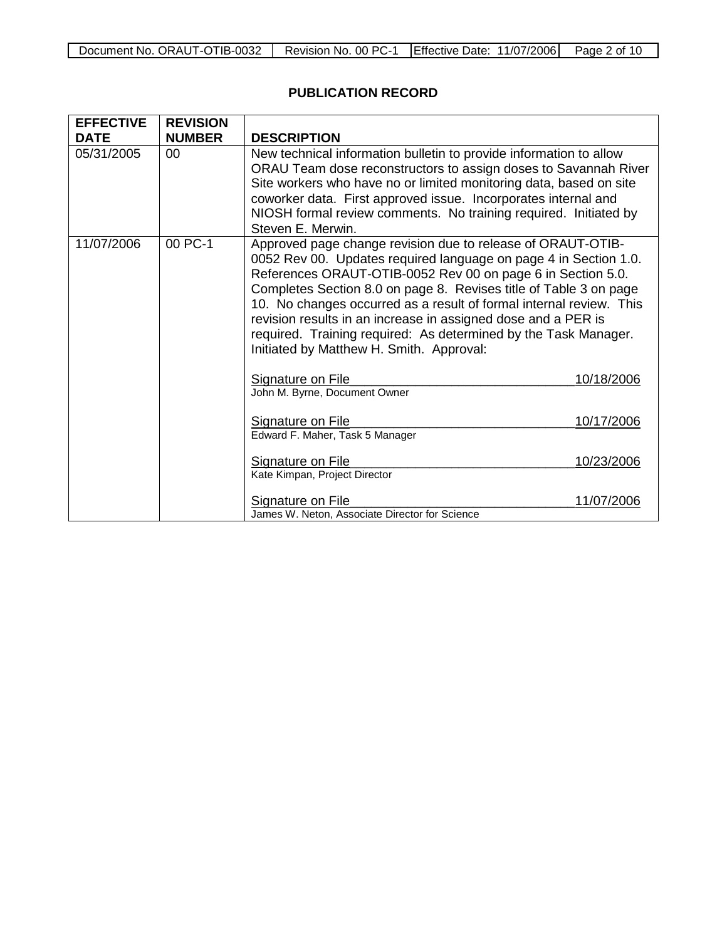## **PUBLICATION RECORD**

| <b>EFFECTIVE</b> | <b>REVISION</b> |                                                                                                                                                                                                                                                                                                                                                                                                                                                                                                                            |            |
|------------------|-----------------|----------------------------------------------------------------------------------------------------------------------------------------------------------------------------------------------------------------------------------------------------------------------------------------------------------------------------------------------------------------------------------------------------------------------------------------------------------------------------------------------------------------------------|------------|
| <b>DATE</b>      | <b>NUMBER</b>   | <b>DESCRIPTION</b>                                                                                                                                                                                                                                                                                                                                                                                                                                                                                                         |            |
| 05/31/2005       | 00              | New technical information bulletin to provide information to allow<br>ORAU Team dose reconstructors to assign doses to Savannah River<br>Site workers who have no or limited monitoring data, based on site<br>coworker data. First approved issue. Incorporates internal and<br>NIOSH formal review comments. No training required. Initiated by<br>Steven E. Merwin.                                                                                                                                                     |            |
| 11/07/2006       | 00 PC-1         | Approved page change revision due to release of ORAUT-OTIB-<br>0052 Rev 00. Updates required language on page 4 in Section 1.0.<br>References ORAUT-OTIB-0052 Rev 00 on page 6 in Section 5.0.<br>Completes Section 8.0 on page 8. Revises title of Table 3 on page<br>10. No changes occurred as a result of formal internal review. This<br>revision results in an increase in assigned dose and a PER is<br>required. Training required: As determined by the Task Manager.<br>Initiated by Matthew H. Smith. Approval: |            |
|                  |                 | Signature on File<br>John M. Byrne, Document Owner                                                                                                                                                                                                                                                                                                                                                                                                                                                                         | 10/18/2006 |
|                  |                 | Signature on File<br>Edward F. Maher, Task 5 Manager                                                                                                                                                                                                                                                                                                                                                                                                                                                                       | 10/17/2006 |
|                  |                 | Signature on File<br>Kate Kimpan, Project Director                                                                                                                                                                                                                                                                                                                                                                                                                                                                         | 10/23/2006 |
|                  |                 | Signature on File<br>James W. Neton, Associate Director for Science                                                                                                                                                                                                                                                                                                                                                                                                                                                        | 11/07/2006 |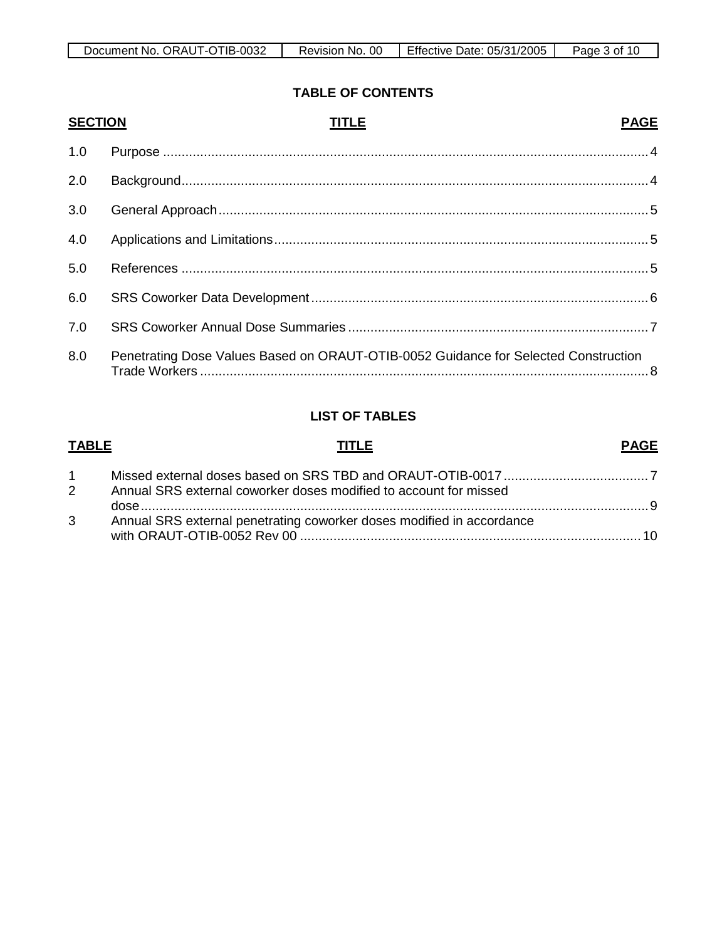| ORAUT-OTIB-0032<br>Document No. | <sub>0</sub> C<br>No.<br>Revision, | Effective Date: 05/31/2005 | Page<br>ാr<br>10 |
|---------------------------------|------------------------------------|----------------------------|------------------|

# **TABLE OF CONTENTS**

| <b>SECTION</b> | <b>TITLE</b>                                                                        | <b>PAGE</b> |
|----------------|-------------------------------------------------------------------------------------|-------------|
| 1.0            |                                                                                     |             |
| 2.0            |                                                                                     |             |
| 3.0            |                                                                                     |             |
| 4.0            |                                                                                     |             |
| 5.0            |                                                                                     |             |
| 6.0            |                                                                                     |             |
| 7.0            |                                                                                     |             |
| 8.0            | Penetrating Dose Values Based on ORAUT-OTIB-0052 Guidance for Selected Construction |             |

## **LIST OF TABLES**

| <b>TABLE</b>   | TITLE                                                                 | <b>PAGE</b> |
|----------------|-----------------------------------------------------------------------|-------------|
|                |                                                                       |             |
| $2^{\circ}$    | Annual SRS external coworker doses modified to account for missed     |             |
| 3 <sup>1</sup> | Annual SRS external penetrating coworker doses modified in accordance |             |
|                |                                                                       |             |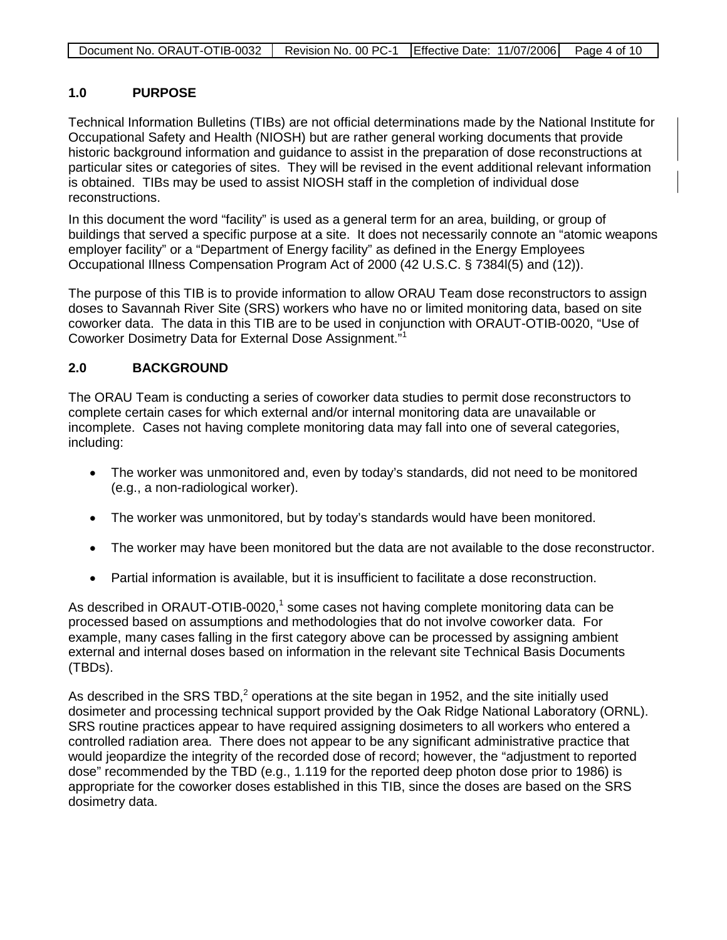#### **1.0 PURPOSE**

Technical Information Bulletins (TIBs) are not official determinations made by the National Institute for Occupational Safety and Health (NIOSH) but are rather general working documents that provide historic background information and guidance to assist in the preparation of dose reconstructions at particular sites or categories of sites. They will be revised in the event additional relevant information is obtained. TIBs may be used to assist NIOSH staff in the completion of individual dose reconstructions.

In this document the word "facility" is used as a general term for an area, building, or group of buildings that served a specific purpose at a site. It does not necessarily connote an "atomic weapons employer facility" or a "Department of Energy facility" as defined in the Energy Employees Occupational Illness Compensation Program Act of 2000 (42 U.S.C. § 7384l(5) and (12)).

The purpose of this TIB is to provide information to allow ORAU Team dose reconstructors to assign doses to Savannah River Site (SRS) workers who have no or limited monitoring data, based on site coworker data. The data in this TIB are to be used in conjunction with ORAUT-OTIB-0020, "Use of Coworker Dosimetry Data for External Dose Assignment."<sup>1</sup>

#### **2.0 BACKGROUND**

The ORAU Team is conducting a series of coworker data studies to permit dose reconstructors to complete certain cases for which external and/or internal monitoring data are unavailable or incomplete. Cases not having complete monitoring data may fall into one of several categories, including:

- The worker was unmonitored and, even by today's standards, did not need to be monitored (e.g., a non-radiological worker).
- The worker was unmonitored, but by today's standards would have been monitored.
- The worker may have been monitored but the data are not available to the dose reconstructor.
- Partial information is available, but it is insufficient to facilitate a dose reconstruction.

As described in ORAUT-OTIB-0020, $1$  some cases not having complete monitoring data can be processed based on assumptions and methodologies that do not involve coworker data. For example, many cases falling in the first category above can be processed by assigning ambient external and internal doses based on information in the relevant site Technical Basis Documents (TBDs).

As described in the SRS TBD,<sup>2</sup> operations at the site began in 1952, and the site initially used dosimeter and processing technical support provided by the Oak Ridge National Laboratory (ORNL). SRS routine practices appear to have required assigning dosimeters to all workers who entered a controlled radiation area. There does not appear to be any significant administrative practice that would jeopardize the integrity of the recorded dose of record; however, the "adjustment to reported dose" recommended by the TBD (e.g., 1.119 for the reported deep photon dose prior to 1986) is appropriate for the coworker doses established in this TIB, since the doses are based on the SRS dosimetry data.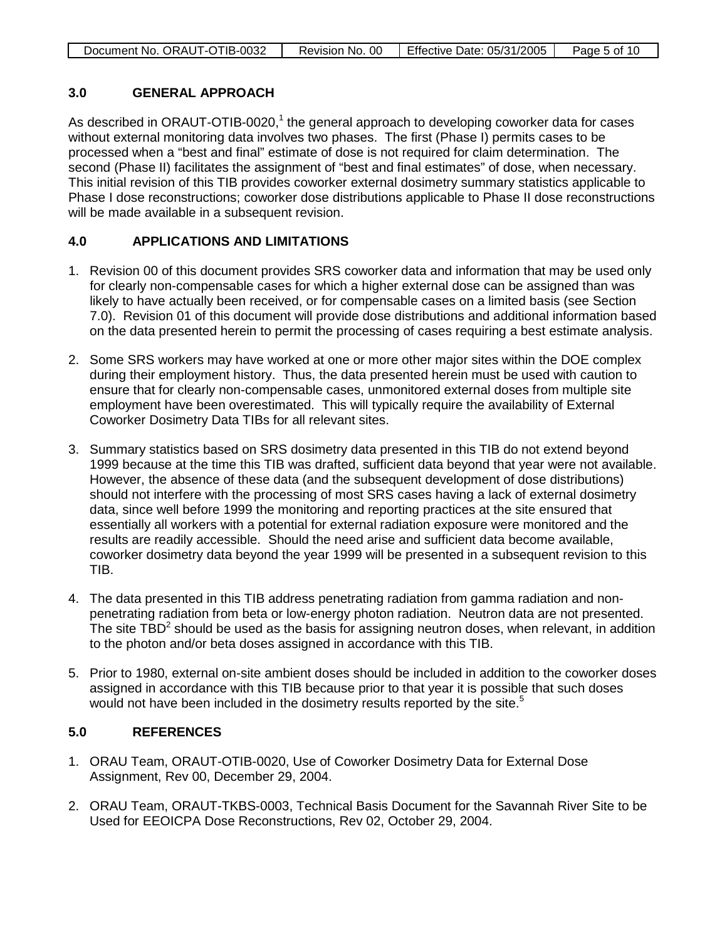| Document No. ORAUT-OTIB-0032 | Revision No. 00 | Effective Date: 05/31/2005 | Page 5 of 10 |
|------------------------------|-----------------|----------------------------|--------------|

#### **3.0 GENERAL APPROACH**

As described in ORAUT-OTIB-0020, $1$  the general approach to developing coworker data for cases without external monitoring data involves two phases. The first (Phase I) permits cases to be processed when a "best and final" estimate of dose is not required for claim determination. The second (Phase II) facilitates the assignment of "best and final estimates" of dose, when necessary. This initial revision of this TIB provides coworker external dosimetry summary statistics applicable to Phase I dose reconstructions; coworker dose distributions applicable to Phase II dose reconstructions will be made available in a subsequent revision.

#### **4.0 APPLICATIONS AND LIMITATIONS**

- 1. Revision 00 of this document provides SRS coworker data and information that may be used only for clearly non-compensable cases for which a higher external dose can be assigned than was likely to have actually been received, or for compensable cases on a limited basis (see Section 7.0). Revision 01 of this document will provide dose distributions and additional information based on the data presented herein to permit the processing of cases requiring a best estimate analysis.
- 2. Some SRS workers may have worked at one or more other major sites within the DOE complex during their employment history. Thus, the data presented herein must be used with caution to ensure that for clearly non-compensable cases, unmonitored external doses from multiple site employment have been overestimated. This will typically require the availability of External Coworker Dosimetry Data TIBs for all relevant sites.
- 3. Summary statistics based on SRS dosimetry data presented in this TIB do not extend beyond 1999 because at the time this TIB was drafted, sufficient data beyond that year were not available. However, the absence of these data (and the subsequent development of dose distributions) should not interfere with the processing of most SRS cases having a lack of external dosimetry data, since well before 1999 the monitoring and reporting practices at the site ensured that essentially all workers with a potential for external radiation exposure were monitored and the results are readily accessible. Should the need arise and sufficient data become available, coworker dosimetry data beyond the year 1999 will be presented in a subsequent revision to this TIB.
- 4. The data presented in this TIB address penetrating radiation from gamma radiation and nonpenetrating radiation from beta or low-energy photon radiation. Neutron data are not presented. The site  $TBD<sup>2</sup>$  should be used as the basis for assigning neutron doses, when relevant, in addition to the photon and/or beta doses assigned in accordance with this TIB.
- 5. Prior to 1980, external on-site ambient doses should be included in addition to the coworker doses assigned in accordance with this TIB because prior to that year it is possible that such doses would not have been included in the dosimetry results reported by the site.<sup>5</sup>

#### **5.0 REFERENCES**

- 1. ORAU Team, ORAUT-OTIB-0020, Use of Coworker Dosimetry Data for External Dose Assignment, Rev 00, December 29, 2004.
- 2. ORAU Team, ORAUT-TKBS-0003, Technical Basis Document for the Savannah River Site to be Used for EEOICPA Dose Reconstructions, Rev 02, October 29, 2004.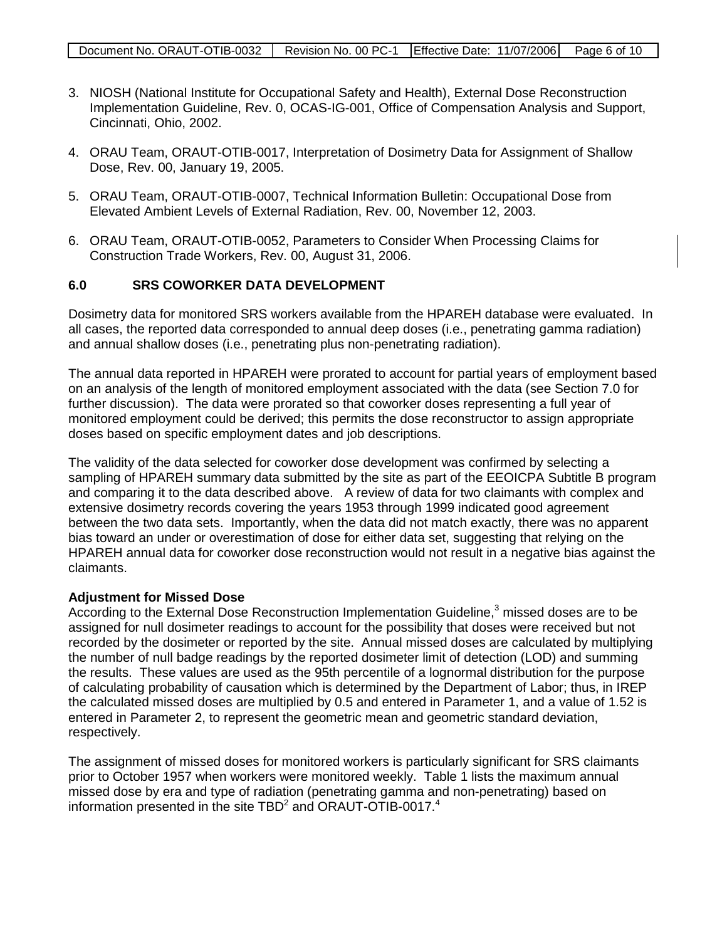- 3. NIOSH (National Institute for Occupational Safety and Health), External Dose Reconstruction Implementation Guideline, Rev. 0, OCAS-IG-001, Office of Compensation Analysis and Support, Cincinnati, Ohio, 2002.
- 4. ORAU Team, ORAUT-OTIB-0017, Interpretation of Dosimetry Data for Assignment of Shallow Dose, Rev. 00, January 19, 2005.
- 5. ORAU Team, ORAUT-OTIB-0007, Technical Information Bulletin: Occupational Dose from Elevated Ambient Levels of External Radiation, Rev. 00, November 12, 2003.
- 6. ORAU Team, ORAUT-OTIB-0052, Parameters to Consider When Processing Claims for Construction Trade Workers, Rev. 00, August 31, 2006.

#### **6.0 SRS COWORKER DATA DEVELOPMENT**

Dosimetry data for monitored SRS workers available from the HPAREH database were evaluated. In all cases, the reported data corresponded to annual deep doses (i.e., penetrating gamma radiation) and annual shallow doses (i.e., penetrating plus non-penetrating radiation).

The annual data reported in HPAREH were prorated to account for partial years of employment based on an analysis of the length of monitored employment associated with the data (see Section 7.0 for further discussion). The data were prorated so that coworker doses representing a full year of monitored employment could be derived; this permits the dose reconstructor to assign appropriate doses based on specific employment dates and job descriptions.

The validity of the data selected for coworker dose development was confirmed by selecting a sampling of HPAREH summary data submitted by the site as part of the EEOICPA Subtitle B program and comparing it to the data described above. A review of data for two claimants with complex and extensive dosimetry records covering the years 1953 through 1999 indicated good agreement between the two data sets. Importantly, when the data did not match exactly, there was no apparent bias toward an under or overestimation of dose for either data set, suggesting that relying on the HPAREH annual data for coworker dose reconstruction would not result in a negative bias against the claimants.

#### **Adjustment for Missed Dose**

According to the External Dose Reconstruction Implementation Guideline,<sup>3</sup> missed doses are to be assigned for null dosimeter readings to account for the possibility that doses were received but not recorded by the dosimeter or reported by the site. Annual missed doses are calculated by multiplying the number of null badge readings by the reported dosimeter limit of detection (LOD) and summing the results. These values are used as the 95th percentile of a lognormal distribution for the purpose of calculating probability of causation which is determined by the Department of Labor; thus, in IREP the calculated missed doses are multiplied by 0.5 and entered in Parameter 1, and a value of 1.52 is entered in Parameter 2, to represent the geometric mean and geometric standard deviation, respectively.

The assignment of missed doses for monitored workers is particularly significant for SRS claimants prior to October 1957 when workers were monitored weekly. Table 1 lists the maximum annual missed dose by era and type of radiation (penetrating gamma and non-penetrating) based on information presented in the site  $TBD^2$  and ORAUT-OTIB-0017.<sup>4</sup>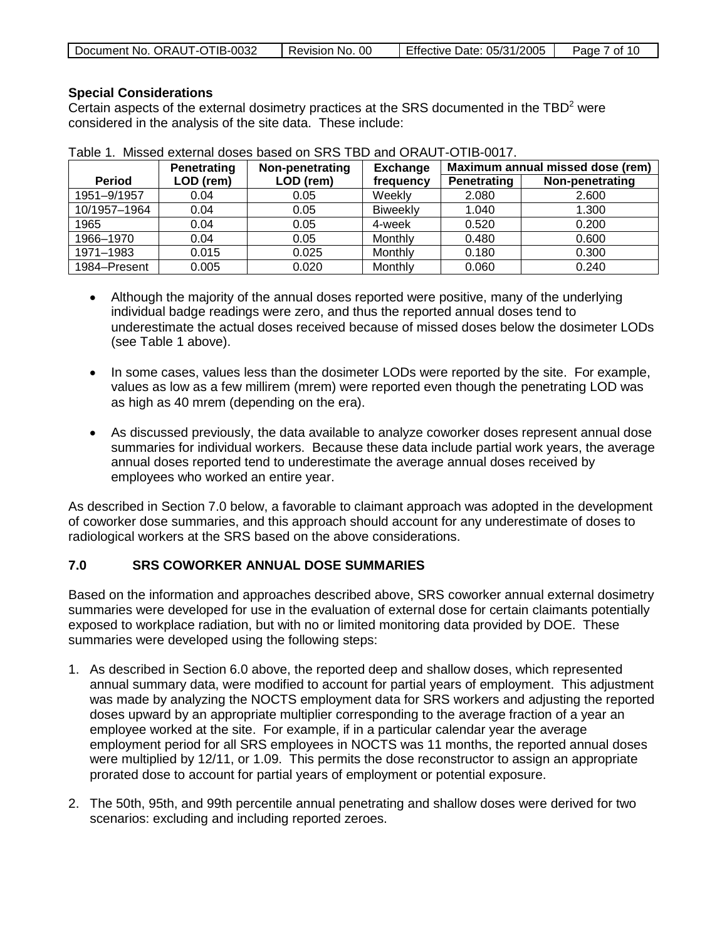|  | Document No. ORAUT-OTIB-0032 | Revision No. 00 | Effective Date: 05/31/2005 | Page 7 of 10 |
|--|------------------------------|-----------------|----------------------------|--------------|
|--|------------------------------|-----------------|----------------------------|--------------|

#### **Special Considerations**

Certain aspects of the external dosimetry practices at the SRS documented in the  $TBD<sup>2</sup>$  were considered in the analysis of the site data. These include:

|               | Penetrating | Non-penetrating | <b>Exchange</b> | Maximum annual missed dose (rem) |                 |
|---------------|-------------|-----------------|-----------------|----------------------------------|-----------------|
| <b>Period</b> | LOD (rem)   | LOD (rem)       | frequency       | <b>Penetrating</b>               | Non-penetrating |
| 1951-9/1957   | 0.04        | 0.05            | Weekly          | 2.080                            | 2.600           |
| 10/1957-1964  | 0.04        | 0.05            | <b>Biweekly</b> | 1.040                            | 1.300           |
| 1965          | 0.04        | 0.05            | 4-week          | 0.520                            | 0.200           |
| 1966-1970     | 0.04        | 0.05            | Monthly         | 0.480                            | 0.600           |
| 1971-1983     | 0.015       | 0.025           | Monthly         | 0.180                            | 0.300           |
| 1984-Present  | 0.005       | 0.020           | Monthly         | 0.060                            | 0.240           |

|  |  | Table 1. Missed external doses based on SRS TBD and ORAUT-OTIB-0017. |  |  |  |
|--|--|----------------------------------------------------------------------|--|--|--|
|--|--|----------------------------------------------------------------------|--|--|--|

- Although the majority of the annual doses reported were positive, many of the underlying individual badge readings were zero, and thus the reported annual doses tend to underestimate the actual doses received because of missed doses below the dosimeter LODs (see Table 1 above).
- In some cases, values less than the dosimeter LODs were reported by the site. For example, values as low as a few millirem (mrem) were reported even though the penetrating LOD was as high as 40 mrem (depending on the era).
- As discussed previously, the data available to analyze coworker doses represent annual dose summaries for individual workers. Because these data include partial work years, the average annual doses reported tend to underestimate the average annual doses received by employees who worked an entire year.

As described in Section 7.0 below, a favorable to claimant approach was adopted in the development of coworker dose summaries, and this approach should account for any underestimate of doses to radiological workers at the SRS based on the above considerations.

#### **7.0 SRS COWORKER ANNUAL DOSE SUMMARIES**

Based on the information and approaches described above, SRS coworker annual external dosimetry summaries were developed for use in the evaluation of external dose for certain claimants potentially exposed to workplace radiation, but with no or limited monitoring data provided by DOE. These summaries were developed using the following steps:

- 1. As described in Section 6.0 above, the reported deep and shallow doses, which represented annual summary data, were modified to account for partial years of employment. This adjustment was made by analyzing the NOCTS employment data for SRS workers and adjusting the reported doses upward by an appropriate multiplier corresponding to the average fraction of a year an employee worked at the site. For example, if in a particular calendar year the average employment period for all SRS employees in NOCTS was 11 months, the reported annual doses were multiplied by 12/11, or 1.09. This permits the dose reconstructor to assign an appropriate prorated dose to account for partial years of employment or potential exposure.
- 2. The 50th, 95th, and 99th percentile annual penetrating and shallow doses were derived for two scenarios: excluding and including reported zeroes.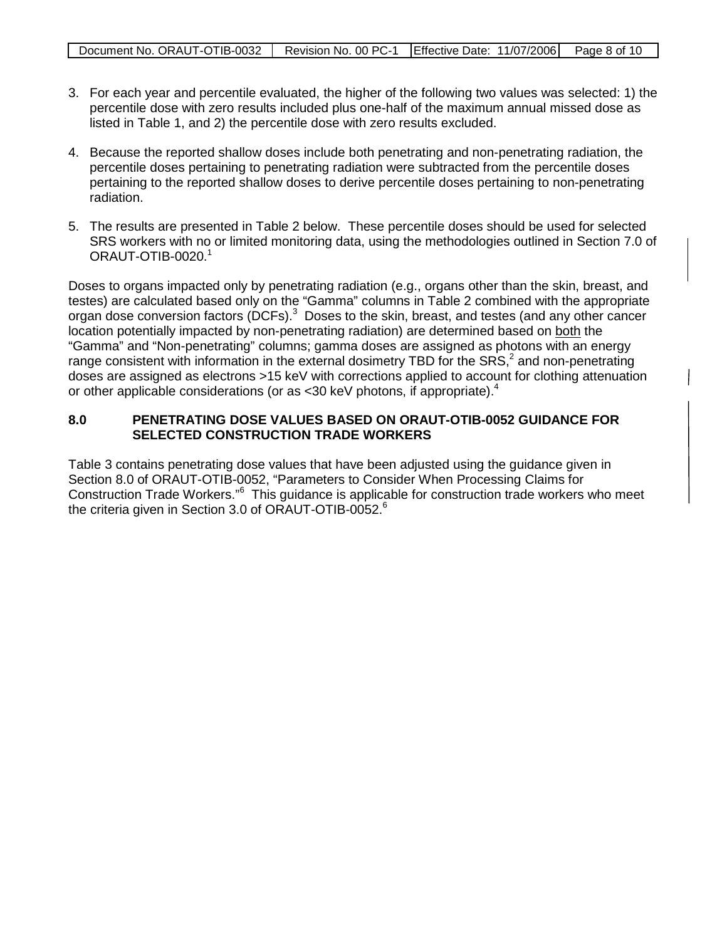- 3. For each year and percentile evaluated, the higher of the following two values was selected: 1) the percentile dose with zero results included plus one-half of the maximum annual missed dose as listed in Table 1, and 2) the percentile dose with zero results excluded.
- 4. Because the reported shallow doses include both penetrating and non-penetrating radiation, the percentile doses pertaining to penetrating radiation were subtracted from the percentile doses pertaining to the reported shallow doses to derive percentile doses pertaining to non-penetrating radiation.
- 5. The results are presented in Table 2 below. These percentile doses should be used for selected SRS workers with no or limited monitoring data, using the methodologies outlined in Section 7.0 of  $ORAUT-OTIB-0020.<sup>1</sup>$

Doses to organs impacted only by penetrating radiation (e.g., organs other than the skin, breast, and testes) are calculated based only on the "Gamma" columns in Table 2 combined with the appropriate organ dose conversion factors (DCFs).<sup>3</sup> Doses to the skin, breast, and testes (and any other cancer location potentially impacted by non-penetrating radiation) are determined based on both the "Gamma" and "Non-penetrating" columns; gamma doses are assigned as photons with an energy range consistent with information in the external dosimetry TBD for the SRS,<sup>2</sup> and non-penetrating doses are assigned as electrons >15 keV with corrections applied to account for clothing attenuation or other applicable considerations (or as <30 keV photons, if appropriate).<sup>4</sup>

#### **8.0 PENETRATING DOSE VALUES BASED ON ORAUT-OTIB-0052 GUIDANCE FOR SELECTED CONSTRUCTION TRADE WORKERS**

Table 3 contains penetrating dose values that have been adjusted using the guidance given in Section 8.0 of ORAUT-OTIB-0052, "Parameters to Consider When Processing Claims for Construction Trade Workers."<sup>6</sup> This guidance is applicable for construction trade workers who meet the criteria given in Section 3.0 of ORAUT-OTIB-0052.<sup>6</sup>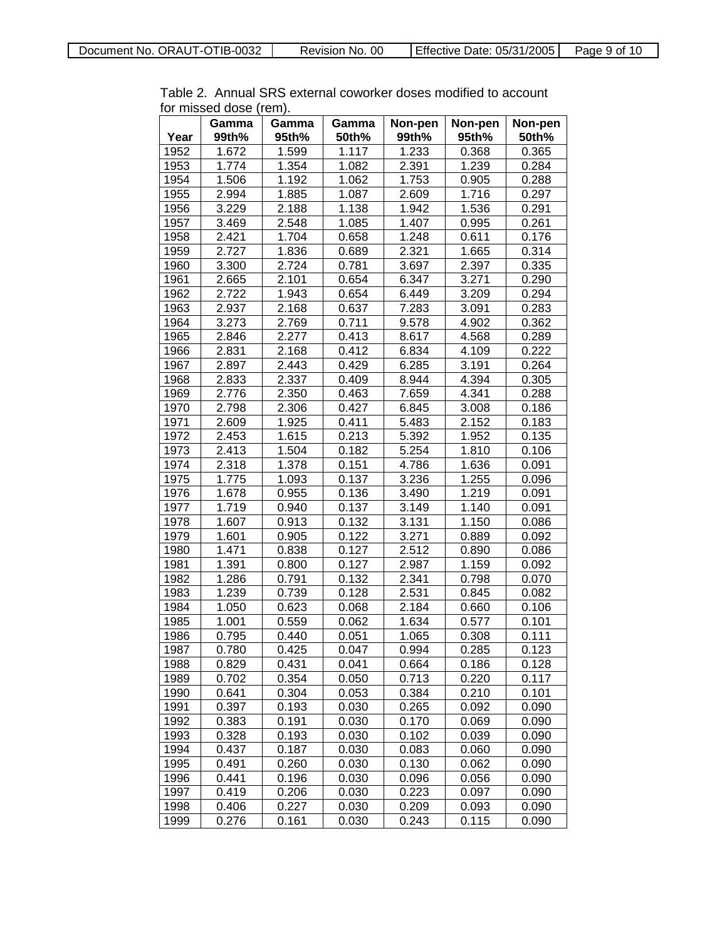|      | Gamma | Gamma |                |                  |                  |                  |
|------|-------|-------|----------------|------------------|------------------|------------------|
| Year | 99th% | 95th% | Gamma<br>50th% | Non-pen<br>99th% | Non-pen<br>95th% | Non-pen<br>50th% |
| 1952 | 1.672 | 1.599 | 1.117          | 1.233            | 0.368            | 0.365            |
| 1953 | 1.774 | 1.354 | 1.082          | 2.391            | 1.239            | 0.284            |
| 1954 | 1.506 | 1.192 | 1.062          | 1.753            | 0.905            | 0.288            |
| 1955 | 2.994 | 1.885 | 1.087          | 2.609            | 1.716            | 0.297            |
| 1956 | 3.229 | 2.188 | 1.138          | 1.942            | 1.536            | 0.291            |
| 1957 | 3.469 | 2.548 | 1.085          | 1.407            | 0.995            | 0.261            |
| 1958 | 2.421 | 1.704 | 0.658          | 1.248            | 0.611            | 0.176            |
| 1959 | 2.727 | 1.836 | 0.689          | 2.321            | 1.665            | 0.314            |
| 1960 | 3.300 | 2.724 | 0.781          | 3.697            | 2.397            | 0.335            |
| 1961 | 2.665 | 2.101 | 0.654          | 6.347            | 3.271            | 0.290            |
| 1962 | 2.722 | 1.943 | 0.654          | 6.449            | 3.209            | 0.294            |
| 1963 | 2.937 | 2.168 | 0.637          | 7.283            | 3.091            | 0.283            |
| 1964 | 3.273 | 2.769 | 0.711          | 9.578            | 4.902            | 0.362            |
| 1965 | 2.846 | 2.277 | 0.413          | 8.617            | 4.568            | 0.289            |
| 1966 | 2.831 | 2.168 | 0.412          | 6.834            | 4.109            | 0.222            |
| 1967 | 2.897 | 2.443 | 0.429          | 6.285            | 3.191            | 0.264            |
| 1968 | 2.833 | 2.337 | 0.409          | 8.944            | 4.394            | 0.305            |
| 1969 | 2.776 | 2.350 | 0.463          | 7.659            | 4.341            | 0.288            |
| 1970 | 2.798 | 2.306 | 0.427          | 6.845            | 3.008            | 0.186            |
| 1971 | 2.609 | 1.925 | 0.411          | 5.483            | 2.152            | 0.183            |
| 1972 | 2.453 | 1.615 | 0.213          | 5.392            | 1.952            | 0.135            |
| 1973 | 2.413 | 1.504 | 0.182          | 5.254            | 1.810            | 0.106            |
| 1974 | 2.318 | 1.378 | 0.151          | 4.786            | 1.636            | 0.091            |
| 1975 | 1.775 | 1.093 | 0.137          | 3.236            | 1.255            | 0.096            |
| 1976 | 1.678 | 0.955 | 0.136          | 3.490            | 1.219            | 0.091            |
| 1977 | 1.719 | 0.940 | 0.137          | 3.149            | 1.140            | 0.091            |
| 1978 | 1.607 | 0.913 | 0.132          | 3.131            | 1.150            | 0.086            |
| 1979 | 1.601 | 0.905 | 0.122          | 3.271            | 0.889            | 0.092            |
| 1980 | 1.471 | 0.838 | 0.127          | 2.512            | 0.890            | 0.086            |
| 1981 | 1.391 | 0.800 | 0.127          | 2.987            | 1.159            | 0.092            |
| 1982 | 1.286 | 0.791 | 0.132          | 2.341            | 0.798            | 0.070            |
| 1983 | 1.239 | 0.739 | 0.128          | 2.531            | 0.845            | 0.082            |
| 1984 | 1.050 | 0.623 | 0.068          | 2.184            | 0.660            | 0.106            |
| 1985 | 1.001 | 0.559 | 0.062          | 1.634            | 0.577            | 0.101            |
| 1986 | 0.795 | 0.440 | 0.051          | 1.065            | 0.308            | 0.111            |
| 1987 | 0.780 | 0.425 | 0.047          | 0.994            | 0.285            | 0.123            |
| 1988 | 0.829 | 0.431 | 0.041          | 0.664            | 0.186            | 0.128            |
| 1989 | 0.702 | 0.354 | 0.050          | 0.713            | 0.220            | 0.117            |
| 1990 | 0.641 | 0.304 | 0.053          | 0.384            | 0.210            | 0.101            |
| 1991 | 0.397 | 0.193 | 0.030          | 0.265            | 0.092            | 0.090            |
| 1992 | 0.383 | 0.191 | 0.030          | 0.170            | 0.069            | 0.090            |
| 1993 | 0.328 | 0.193 | 0.030          | 0.102            | 0.039            | 0.090            |
| 1994 | 0.437 | 0.187 | 0.030          | 0.083            | 0.060            | 0.090            |
| 1995 | 0.491 | 0.260 | 0.030          | 0.130            | 0.062            | 0.090            |
| 1996 | 0.441 | 0.196 | 0.030          | 0.096            | 0.056            | 0.090            |
| 1997 | 0.419 | 0.206 | 0.030          | 0.223            | 0.097            | 0.090            |
| 1998 | 0.406 | 0.227 | 0.030          | 0.209            | 0.093            | 0.090            |
| 1999 | 0.276 | 0.161 | 0.030          | 0.243            | 0.115            | 0.090            |

Table 2. Annual SRS external coworker doses modified to account for missed dose (rem).